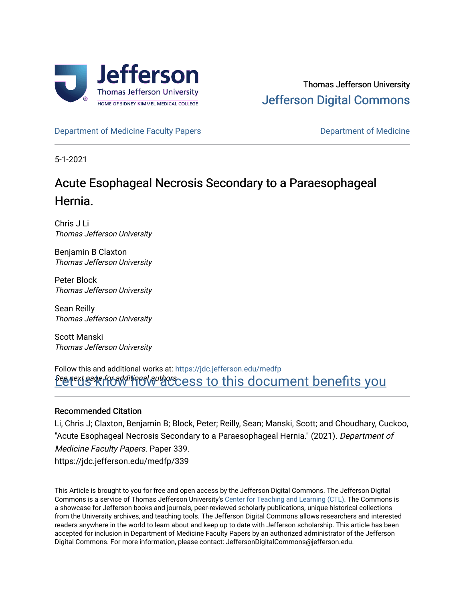

[Department of Medicine Faculty Papers](https://jdc.jefferson.edu/medfp) **Department of Medicine** 

5-1-2021

# Acute Esophageal Necrosis Secondary to a Paraesophageal Hernia.

Chris J Li Thomas Jefferson University

Benjamin B Claxton Thomas Jefferson University

Peter Block Thomas Jefferson University

Sean Reilly Thomas Jefferson University

Scott Manski Thomas Jefferson University

<u>Perext sage for additional authors cess to this document benefits you</u> Follow this and additional works at: [https://jdc.jefferson.edu/medfp](https://jdc.jefferson.edu/medfp?utm_source=jdc.jefferson.edu%2Fmedfp%2F339&utm_medium=PDF&utm_campaign=PDFCoverPages) 

# Recommended Citation

Li, Chris J; Claxton, Benjamin B; Block, Peter; Reilly, Sean; Manski, Scott; and Choudhary, Cuckoo, "Acute Esophageal Necrosis Secondary to a Paraesophageal Hernia." (2021). Department of Medicine Faculty Papers. Paper 339. https://jdc.jefferson.edu/medfp/339

This Article is brought to you for free and open access by the Jefferson Digital Commons. The Jefferson Digital Commons is a service of Thomas Jefferson University's [Center for Teaching and Learning \(CTL\)](http://www.jefferson.edu/university/teaching-learning.html/). The Commons is a showcase for Jefferson books and journals, peer-reviewed scholarly publications, unique historical collections from the University archives, and teaching tools. The Jefferson Digital Commons allows researchers and interested readers anywhere in the world to learn about and keep up to date with Jefferson scholarship. This article has been accepted for inclusion in Department of Medicine Faculty Papers by an authorized administrator of the Jefferson Digital Commons. For more information, please contact: JeffersonDigitalCommons@jefferson.edu.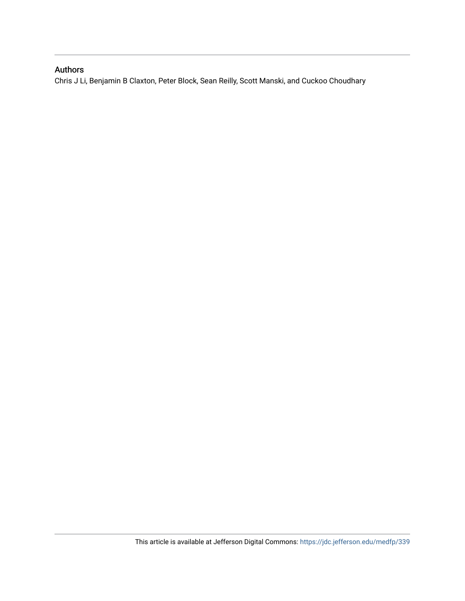# Authors

Chris J Li, Benjamin B Claxton, Peter Block, Sean Reilly, Scott Manski, and Cuckoo Choudhary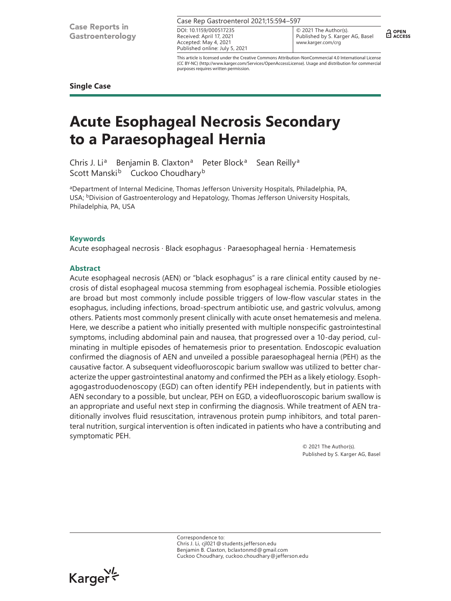| Case Rep Gastroenterol 2021;15:594-597 |                         |  |  |  |
|----------------------------------------|-------------------------|--|--|--|
| DOI: 10.1159/000517235                 | $\bigotimes$ 20<br>Publ |  |  |  |
| Received: April 17, 2021               |                         |  |  |  |
| Accepted: May 4, 2021                  | <b>WWW</b>              |  |  |  |

021 The Author(s). lished by S. Karger AG, Basel www.karger.com/crg

 $\frac{1}{11}$  OPEN

This article is licensed under the Creative Commons Attribution-NonCommercial 4.0 International License (CC BY-NC) (http://www.karger.com/Services/OpenAccessLicense). Usage and distribution for commercial purposes requires written permission.

**Single Case**

# **Acute Esophageal Necrosis Secondary to a Paraesophageal Hernia**

Published online: July 5, 2021

Chris J. Li<sup>a</sup> Benjamin B. Claxton<sup>a</sup> Peter Block<sup>a</sup> Sean Reilly<sup>a</sup> Scott Manski<sup>b</sup> Cuckoo Choudhary<sup>b</sup>

aDepartment of Internal Medicine, Thomas Jefferson University Hospitals, Philadelphia, PA, USA; <sup>b</sup>Division of Gastroenterology and Hepatology, Thomas Jefferson University Hospitals, Philadelphia, PA, USA

# **Keywords**

Acute esophageal necrosis · Black esophagus · Paraesophageal hernia · Hematemesis

# **Abstract**

Acute esophageal necrosis (AEN) or "black esophagus" is a rare clinical entity caused by necrosis of distal esophageal mucosa stemming from esophageal ischemia. Possible etiologies are broad but most commonly include possible triggers of low-flow vascular states in the esophagus, including infections, broad-spectrum antibiotic use, and gastric volvulus, among others. Patients most commonly present clinically with acute onset hematemesis and melena. Here, we describe a patient who initially presented with multiple nonspecific gastrointestinal symptoms, including abdominal pain and nausea, that progressed over a 10-day period, culminating in multiple episodes of hematemesis prior to presentation. Endoscopic evaluation confirmed the diagnosis of AEN and unveiled a possible paraesophageal hernia (PEH) as the causative factor. A subsequent videofluoroscopic barium swallow was utilized to better characterize the upper gastrointestinal anatomy and confirmed the PEH as a likely etiology. Esophagogastroduodenoscopy (EGD) can often identify PEH independently, but in patients with AEN secondary to a possible, but unclear, PEH on EGD, a videofluoroscopic barium swallow is an appropriate and useful next step in confirming the diagnosis. While treatment of AEN traditionally involves fluid resuscitation, intravenous protein pump inhibitors, and total parenteral nutrition, surgical intervention is often indicated in patients who have a contributing and symptomatic PEH.

> © 2021 The Author(s). Published by S. Karger AG, Basel

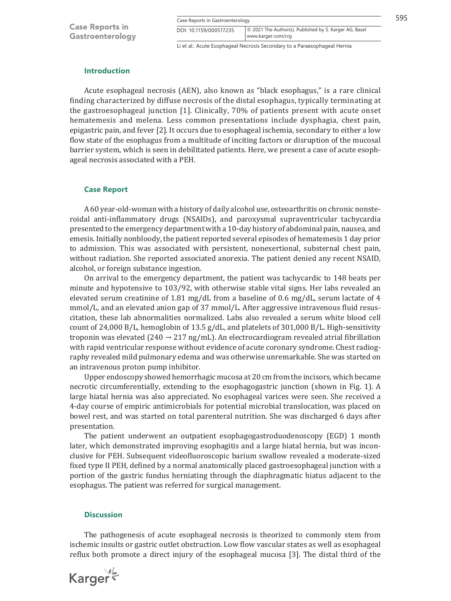|  |  |  | Case Reports in Gastroenterology |  |
|--|--|--|----------------------------------|--|
|--|--|--|----------------------------------|--|

| Case Reports in Gastroenterology |                                                                              |  |  |  |
|----------------------------------|------------------------------------------------------------------------------|--|--|--|
| DOI: 10.1159/000517235           | © 2021 The Author(s). Published by S. Karger AG, Basel<br>www.karger.com/crg |  |  |  |

Li et al.: Acute Esophageal Necrosis Secondary to a Paraesophageal Hernia

### **Introduction**

Acute esophageal necrosis (AEN), also known as "black esophagus," is a rare clinical finding characterized by diffuse necrosis of the distal esophagus, typically terminating at the gastroesophageal junction [[1\]](#page-5-0). Clinically, 70% of patients present with acute onset hematemesis and melena. Less common presentations include dysphagia, chest pain, epigastric pain, and fever [\[2\]](#page-5-1). It occurs due to esophageal ischemia, secondary to either a low flow state of the esophagus from a multitude of inciting factors or disruption of the mucosal barrier system, which is seen in debilitated patients. Here, we present a case of acute esophageal necrosis associated with a PEH.

# **Case Report**

A 60 year-old-woman with a history of daily alcohol use, osteoarthritis on chronic nonsteroidal anti-inflammatory drugs (NSAIDs), and paroxysmal supraventricular tachycardia presented to the emergency department with a 10-day history of abdominal pain, nausea, and emesis. Initially nonbloody, the patient reported several episodes of hematemesis 1 day prior to admission. This was associated with persistent, nonexertional, substernal chest pain, without radiation. She reported associated anorexia. The patient denied any recent NSAID, alcohol, or foreign substance ingestion.

On arrival to the emergency department, the patient was tachycardic to 148 beats per minute and hypotensive to 103/92, with otherwise stable vital signs. Her labs revealed an elevated serum creatinine of 1.81 mg/dL from a baseline of 0.6 mg/dL, serum lactate of 4 mmol/L, and an elevated anion gap of 37 mmol/L. After aggressive intravenous fluid resuscitation, these lab abnormalities normalized. Labs also revealed a serum white blood cell count of 24,000 B/L, hemoglobin of 13.5 g/dL, and platelets of 301,000 B/L. High-sensitivity troponin was elevated (240  $\rightarrow$  217 ng/mL). An electrocardiogram revealed atrial fibrillation with rapid ventricular response without evidence of acute coronary syndrome. Chest radiography revealed mild pulmonary edema and was otherwise unremarkable. She was started on an intravenous proton pump inhibitor.

Upper endoscopy showed hemorrhagic mucosa at 20 cm from the incisors, which became necrotic circumferentially, extending to the esophagogastric junction (shown in Fig. 1). A large hiatal hernia was also appreciated. No esophageal varices were seen. She received a 4-day course of empiric antimicrobials for potential microbial translocation, was placed on bowel rest, and was started on total parenteral nutrition. She was discharged 6 days after presentation.

The patient underwent an outpatient esophagogastroduodenoscopy (EGD) 1 month later, which demonstrated improving esophagitis and a large hiatal hernia, but was inconclusive for PEH. Subsequent videofluoroscopic barium swallow revealed a moderate-sized fixed type II PEH, defined by a normal anatomically placed gastroesophageal junction with a portion of the gastric fundus herniating through the diaphragmatic hiatus adjacent to the esophagus. The patient was referred for surgical management.

## **Discussion**

The pathogenesis of acute esophageal necrosis is theorized to commonly stem from ischemic insults or gastric outlet obstruction. Low flow vascular states as well as esophageal reflux both promote a direct injury of the esophageal mucosa [\[3](#page-5-2)]. The distal third of the

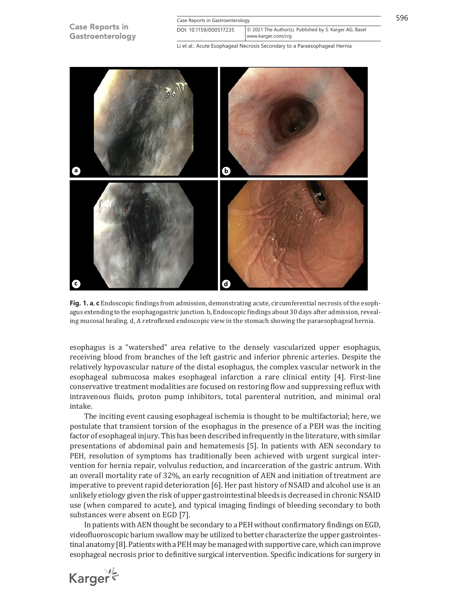

**Fig. 1. a**, **c** Endoscopic findings from admission, demonstrating acute, circumferential necrosis of the esophagus extending to the esophagogastric junction. b, Endoscopic findings about 30 days after admission, revealing mucosal healing. d, A retroflexed endoscopic view in the stomach showing the paraesophageal hernia.

esophagus is a "watershed" area relative to the densely vascularized upper esophagus, receiving blood from branches of the left gastric and inferior phrenic arteries. Despite the relatively hypovascular nature of the distal esophagus, the complex vascular network in the esophageal submucosa makes esophageal infarction a rare clinical entity [\[4](#page-5-3)]. First-line conservative treatment modalities are focused on restoring flow and suppressing reflux with intravenous fluids, proton pump inhibitors, total parenteral nutrition, and minimal oral intake.

The inciting event causing esophageal ischemia is thought to be multifactorial; here, we postulate that transient torsion of the esophagus in the presence of a PEH was the inciting factor of esophageal injury. This has been described infrequently in the literature, with similar presentations of abdominal pain and hematemesis [\[5\]](#page-5-4). In patients with AEN secondary to PEH, resolution of symptoms has traditionally been achieved with urgent surgical intervention for hernia repair, volvulus reduction, and incarceration of the gastric antrum. With an overall mortality rate of 32%, an early recognition of AEN and initiation of treatment are imperative to prevent rapid deterioration [[6\]](#page-5-5). Her past history of NSAID and alcohol use is an unlikely etiology given the risk of upper gastrointestinal bleeds is decreased in chronic NSAID use (when compared to acute), and typical imaging findings of bleeding secondary to both substances were absent on EGD [\[7](#page-5-6)].

In patients with AEN thought be secondary to a PEH without confirmatory findings on EGD, videofluoroscopic barium swallow may be utilized to better characterize the upper gastrointestinal anatomy [[8](#page-5-7)]. Patients with a PEH may be managed with supportive care, which can improve esophageal necrosis prior to definitive surgical intervention. Specific indications for surgery in

Karger